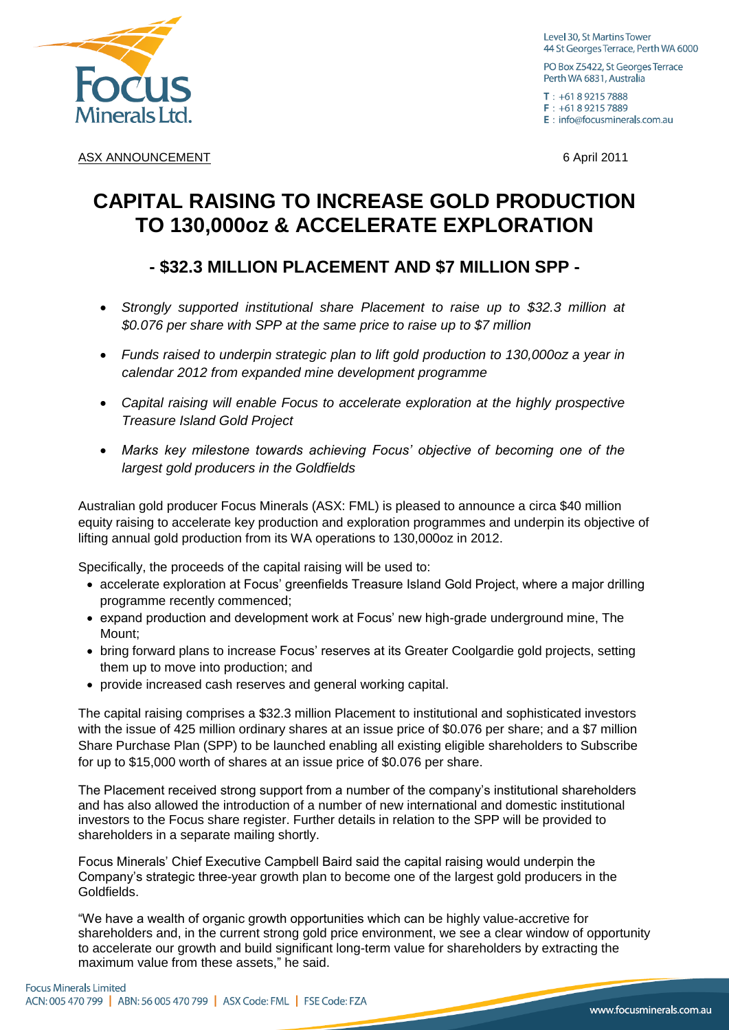

Level 30, St Martins Tower 44 St Georges Terrace, Perth WA 6000

PO Box Z5422, St Georges Terrace Perth WA 6831, Australia

 $T: +61892157888$  $F: +61892157889$ E : info@focusminerals.com.au

ASX ANNOUNCEMENT **6** April 2011

# **CAPITAL RAISING TO INCREASE GOLD PRODUCTION TO 130,000oz & ACCELERATE EXPLORATION**

## **- \$32.3 MILLION PLACEMENT AND \$7 MILLION SPP -**

- *Strongly supported institutional share Placement to raise up to \$32.3 million at \$0.076 per share with SPP at the same price to raise up to \$7 million*
- *Funds raised to underpin strategic plan to lift gold production to 130,000oz a year in calendar 2012 from expanded mine development programme*
- *Capital raising will enable Focus to accelerate exploration at the highly prospective Treasure Island Gold Project*
- *Marks key milestone towards achieving Focus" objective of becoming one of the largest gold producers in the Goldfields*

Australian gold producer Focus Minerals (ASX: FML) is pleased to announce a circa \$40 million equity raising to accelerate key production and exploration programmes and underpin its objective of lifting annual gold production from its WA operations to 130,000oz in 2012.

Specifically, the proceeds of the capital raising will be used to:

- accelerate exploration at Focus' greenfields Treasure Island Gold Project, where a major drilling programme recently commenced;
- expand production and development work at Focus' new high-grade underground mine. The Mount;
- bring forward plans to increase Focus' reserves at its Greater Coolgardie gold projects, setting them up to move into production; and
- provide increased cash reserves and general working capital.

The capital raising comprises a \$32.3 million Placement to institutional and sophisticated investors with the issue of 425 million ordinary shares at an issue price of \$0.076 per share; and a \$7 million Share Purchase Plan (SPP) to be launched enabling all existing eligible shareholders to Subscribe for up to \$15,000 worth of shares at an issue price of \$0.076 per share.

The Placement received strong support from a number of the company's institutional shareholders and has also allowed the introduction of a number of new international and domestic institutional investors to the Focus share register. Further details in relation to the SPP will be provided to shareholders in a separate mailing shortly.

Focus Minerals' Chief Executive Campbell Baird said the capital raising would underpin the Company's strategic three-year growth plan to become one of the largest gold producers in the Goldfields.

"We have a wealth of organic growth opportunities which can be highly value-accretive for shareholders and, in the current strong gold price environment, we see a clear window of opportunity to accelerate our growth and build significant long-term value for shareholders by extracting the maximum value from these assets," he said.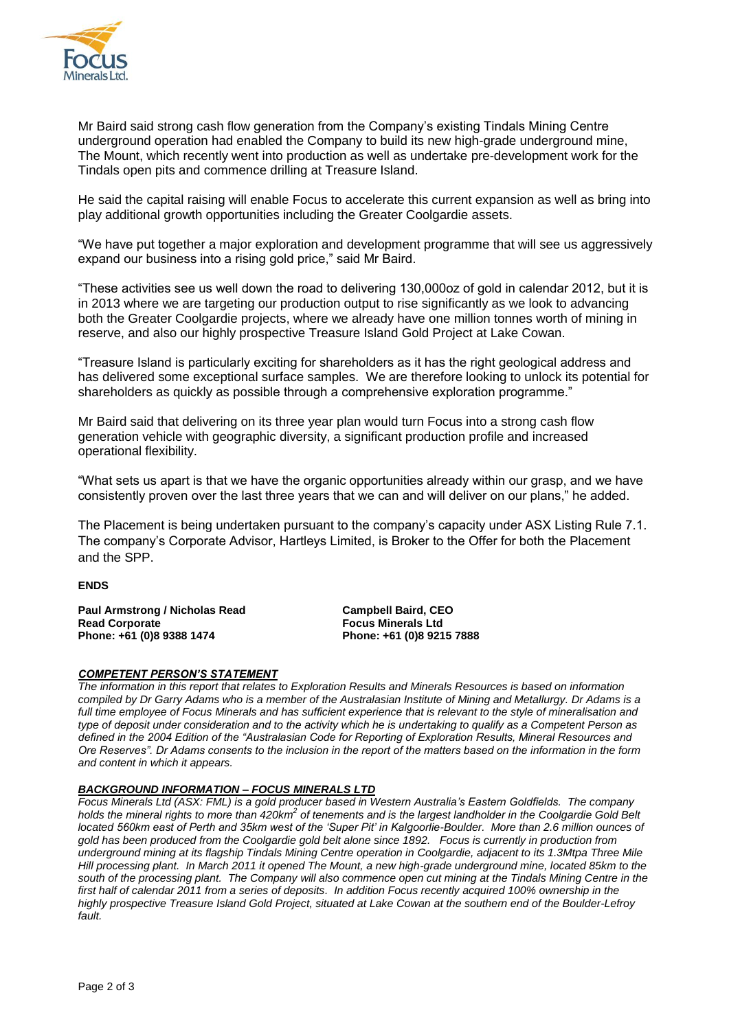

Mr Baird said strong cash flow generation from the Company's existing Tindals Mining Centre underground operation had enabled the Company to build its new high-grade underground mine, The Mount, which recently went into production as well as undertake pre-development work for the Tindals open pits and commence drilling at Treasure Island.

He said the capital raising will enable Focus to accelerate this current expansion as well as bring into play additional growth opportunities including the Greater Coolgardie assets.

"We have put together a major exploration and development programme that will see us aggressively expand our business into a rising gold price," said Mr Baird.

"These activities see us well down the road to delivering 130,000oz of gold in calendar 2012, but it is in 2013 where we are targeting our production output to rise significantly as we look to advancing both the Greater Coolgardie projects, where we already have one million tonnes worth of mining in reserve, and also our highly prospective Treasure Island Gold Project at Lake Cowan.

"Treasure Island is particularly exciting for shareholders as it has the right geological address and has delivered some exceptional surface samples. We are therefore looking to unlock its potential for shareholders as quickly as possible through a comprehensive exploration programme."

Mr Baird said that delivering on its three year plan would turn Focus into a strong cash flow generation vehicle with geographic diversity, a significant production profile and increased operational flexibility.

"What sets us apart is that we have the organic opportunities already within our grasp, and we have consistently proven over the last three years that we can and will deliver on our plans," he added.

The Placement is being undertaken pursuant to the company's capacity under ASX Listing Rule 7.1. The company's Corporate Advisor, Hartleys Limited, is Broker to the Offer for both the Placement and the SPP.

#### **ENDS**

**Paul Armstrong / Nicholas Read Campbell Baird, CEO Read Corporate Focus Minerals Ltd Phone: +61 (0)8 9388 1474** 

#### *COMPETENT PERSON'S STATEMENT*

*The information in this report that relates to Exploration Results and Minerals Resources is based on information compiled by Dr Garry Adams who is a member of the Australasian Institute of Mining and Metallurgy. Dr Adams is a*  full time employee of Focus Minerals and has sufficient experience that is relevant to the style of mineralisation and *type of deposit under consideration and to the activity which he is undertaking to qualify as a Competent Person as defined in the 2004 Edition of the "Australasian Code for Reporting of Exploration Results, Mineral Resources and Ore Reserves". Dr Adams consents to the inclusion in the report of the matters based on the information in the form and content in which it appears.*

#### *BACKGROUND INFORMATION – FOCUS MINERALS LTD*

*Focus Minerals Ltd (ASX: FML) is a gold producer based in Western Australia"s Eastern Goldfields. The company*  holds the mineral rights to more than 420km<sup>2</sup> of tenements and is the largest landholder in the Coolgardie Gold Belt *located 560km east of Perth and 35km west of the "Super Pit" in Kalgoorlie-Boulder. More than 2.6 million ounces of gold has been produced from the Coolgardie gold belt alone since 1892. Focus is currently in production from underground mining at its flagship Tindals Mining Centre operation in Coolgardie, adjacent to its 1.3Mtpa Three Mile Hill processing plant. In March 2011 it opened The Mount, a new high-grade underground mine, located 85km to the south of the processing plant. The Company will also commence open cut mining at the Tindals Mining Centre in the*  first half of calendar 2011 from a series of deposits. In addition Focus recently acquired 100% ownership in the *highly prospective Treasure Island Gold Project, situated at Lake Cowan at the southern end of the Boulder-Lefroy fault.*